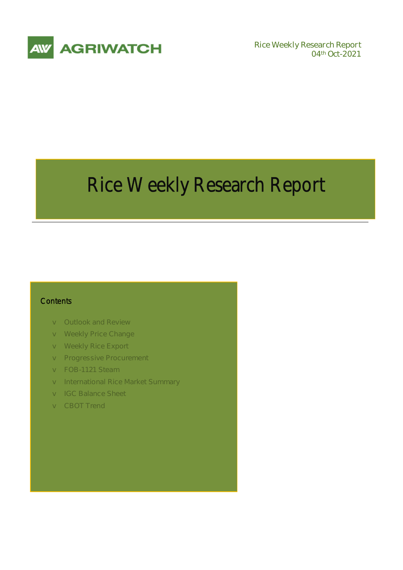

**04th Oct-2021** 

# Rice Weekly Research Report

### **Contents**

- v **Outlook and Review**
- v **Weekly Price Change**
- v **Weekly Rice Export**
- v **Progressive Procurement**
- v **FOB-1121 Steam**
- v **International Rice Market Summary**
- v **IGC Balance Sheet**
- v **CBOT Trend**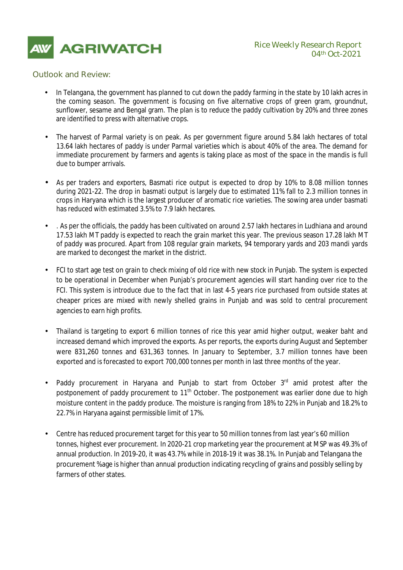

### *Outlook and Review:*

- In Telangana, the government has planned to cut down the paddy farming in the state by 10 lakh acres in the coming season. The government is focusing on five alternative crops of green gram, groundnut, sunflower, sesame and Bengal gram. The plan is to reduce the paddy cultivation by 20% and three zones are identified to press with alternative crops.
- The harvest of Parmal variety is on peak. As per government figure around 5.84 lakh hectares of total 13.64 lakh hectares of paddy is under Parmal varieties which is about 40% of the area. The demand for immediate procurement by farmers and agents is taking place as most of the space in the mandis is full due to bumper arrivals.
- As per traders and exporters, Basmati rice output is expected to drop by 10% to 8.08 million tonnes during 2021-22. The drop in basmati output is largely due to estimated 11% fall to 2.3 million tonnes in crops in Haryana which is the largest producer of aromatic rice varieties. The sowing area under basmati has reduced with estimated 3.5% to 7.9 lakh hectares.
- . As per the officials, the paddy has been cultivated on around 2.57 lakh hectares in Ludhiana and around 17.53 lakh MT paddy is expected to reach the grain market this year. The previous season 17.28 lakh MT of paddy was procured. Apart from 108 regular grain markets, 94 temporary yards and 203 mandi yards are marked to decongest the market in the district.
- FCI to start age test on grain to check mixing of old rice with new stock in Punjab. The system is expected to be operational in December when Punjab's procurement agencies will start handing over rice to the FCI. This system is introduce due to the fact that in last 4-5 years rice purchased from outside states at cheaper prices are mixed with newly shelled grains in Punjab and was sold to central procurement agencies to earn high profits.
- Thailand is targeting to export 6 million tonnes of rice this year amid higher output, weaker baht and increased demand which improved the exports. As per reports, the exports during August and September were 831,260 tonnes and 631,363 tonnes. In January to September, 3.7 million tonnes have been exported and is forecasted to export 700,000 tonnes per month in last three months of the year.
- Paddy procurement in Haryana and Punjab to start from October 3<sup>rd</sup> amid protest after the postponement of paddy procurement to 11<sup>th</sup> October. The postponement was earlier done due to high moisture content in the paddy produce. The moisture is ranging from 18% to 22% in Punjab and 18.2% to 22.7% in Haryana against permissible limit of 17%.
- Centre has reduced procurement target for this year to 50 million tonnes from last year's 60 million tonnes, highest ever procurement. In 2020-21 crop marketing year the procurement at MSP was 49.3% of annual production. In 2019-20, it was 43.7% while in 2018-19 it was 38.1%. In Punjab and Telangana the procurement %age is higher than annual production indicating recycling of grains and possibly selling by farmers of other states.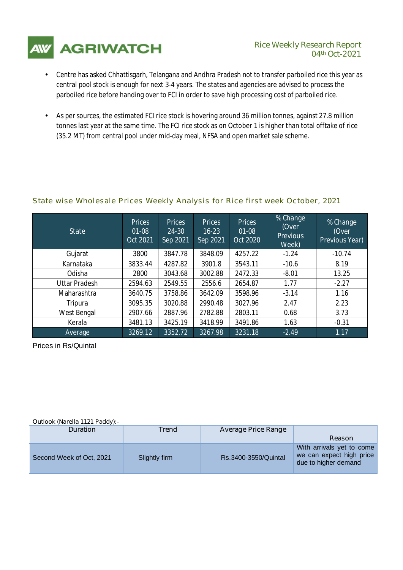

## **04th Oct-2021**

- Centre has asked Chhattisgarh, Telangana and Andhra Pradesh not to transfer parboiled rice this year as central pool stock is enough for next 3-4 years. The states and agencies are advised to process the parboiled rice before handing over to FCI in order to save high processing cost of parboiled rice.
- As per sources, the estimated FCI rice stock is hovering around 36 million tonnes, against 27.8 million tonnes last year at the same time. The FCI rice stock as on October 1 is higher than total offtake of rice (35.2 MT) from central pool under mid-day meal, NFSA and open market sale scheme.

## *State wise Wholesale Prices Weekly Analysis for Rice first week October, 2021*

| <b>State</b>         | <b>Prices</b><br>$01 - 08$<br><b>Oct 2021</b> | <b>Prices</b><br>24-30<br>Sep 2021 | <b>Prices</b><br>$16 - 23$<br>Sep 2021 | <b>Prices</b><br>01-08<br><b>Oct 2020</b> | % Change<br>(Over<br><b>Previous</b><br>Week) | % Change<br>(Over<br><b>Previous Year)</b> |
|----------------------|-----------------------------------------------|------------------------------------|----------------------------------------|-------------------------------------------|-----------------------------------------------|--------------------------------------------|
| Gujarat              | 3800                                          | 3847.78                            | 3848.09                                | 4257.22                                   | $-1.24$                                       | $-10.74$                                   |
| Karnataka            | 3833.44                                       | 4287.82                            | 3901.8                                 | 3543.11                                   | $-10.6$                                       | 8.19                                       |
| Odisha               | 2800                                          | 3043.68                            | 3002.88                                | 2472.33                                   | $-8.01$                                       | 13.25                                      |
| <b>Uttar Pradesh</b> | 2594.63                                       | 2549.55                            | 2556.6                                 | 2654.87                                   | 1.77                                          | $-2.27$                                    |
| Maharashtra          | 3640.75                                       | 3758.86                            | 3642.09                                | 3598.96                                   | $-3.14$                                       | 1.16                                       |
| Tripura              | 3095.35                                       | 3020.88                            | 2990.48                                | 3027.96                                   | 2.47                                          | 2.23                                       |
| West Bengal          | 2907.66                                       | 2887.96                            | 2782.88                                | 2803.11                                   | 0.68                                          | 3.73                                       |
| Kerala               | 3481.13                                       | 3425.19                            | 3418.99                                | 3491.86                                   | 1.63                                          | $-0.31$                                    |
| Average              | 3269.12                                       | 3352.72                            | 3267.98                                | 3231.18                                   | $-2.49$                                       | 1.17                                       |

Prices in Rs/Quintal

#### **Outlook (Narella 1121 Paddy):-**

| <b>Duration</b>          | <b>Trend</b>  | <b>Average Price Range</b> |                                                                               |
|--------------------------|---------------|----------------------------|-------------------------------------------------------------------------------|
|                          |               |                            | <b>Reason</b>                                                                 |
| Second Week of Oct, 2021 | Slightly firm | Rs.3400-3550/Quintal       | With arrivals yet to come<br>we can expect high price<br>due to higher demand |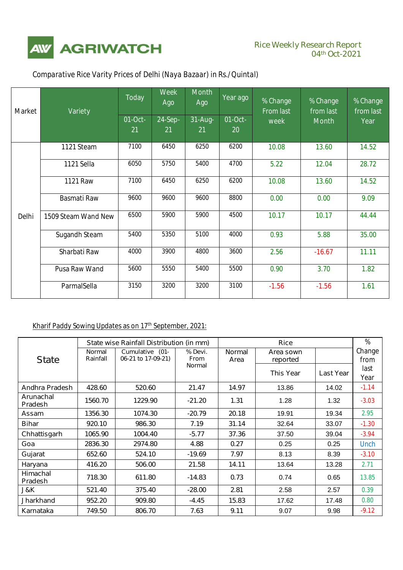

| <b>Market</b> | <b>Variety</b>       | <b>Today</b> | <b>Week</b><br>Ago | <b>Month</b><br>Ago | Year ago | % Change<br><b>From last</b> | % Change<br>from last | % Change<br>from last |
|---------------|----------------------|--------------|--------------------|---------------------|----------|------------------------------|-----------------------|-----------------------|
|               |                      | 01-Oct-      | 24-Sep-            | 31-Aug-             | $01-Oct$ | week                         | <b>Month</b>          | Year                  |
|               |                      | 21           | 21                 | 21                  | 20       |                              |                       |                       |
|               | 1121 Steam           | 7100         | 6450               | 6250                | 6200     | 10.08                        | 13.60                 | 14.52                 |
|               | 1121 Sella           | 6050         | 5750               | 5400                | 4700     | 5.22                         | 12.04                 | 28.72                 |
|               | <b>1121 Raw</b>      | 7100         | 6450               | 6250                | 6200     | 10.08                        | 13.60                 | 14.52                 |
|               | <b>Basmati Raw</b>   | 9600         | 9600               | 9600                | 8800     | 0.00                         | 0.00                  | 9.09                  |
| <b>Delhi</b>  | 1509 Steam Wand New  | 6500         | 5900               | 5900                | 4500     | 10.17                        | 10.17                 | 44.44                 |
|               | <b>Sugandh Steam</b> | 5400         | 5350               | 5100                | 4000     | 0.93                         | 5.88                  | 35.00                 |
|               | Sharbati Raw         | 4000         | 3900               | 4800                | 3600     | 2.56                         | $-16.67$              | 11.11                 |
|               | <b>Pusa Raw Wand</b> | 5600         | 5550               | 5400                | 5500     | 0.90                         | 3.70                  | 1.82                  |
|               | ParmalSella          | 3150         | 3200               | 3200                | 3100     | $-1.56$                      | $-1.56$               | 1.61                  |

## *Comparative Rice Varity Prices of Delhi (Naya Bazaar) in Rs./Quintal)*

## **Kharif Paddy Sowing Updates as on 17th September, 2021:**

|                                   |                           | State wise Rainfall Distribution (in mm) |                        |                       |                       | %                |                |
|-----------------------------------|---------------------------|------------------------------------------|------------------------|-----------------------|-----------------------|------------------|----------------|
| <b>State</b>                      | <b>Normal</b><br>Rainfall | Cumulative (01-<br>06-21 to 17-09-21)    | % Devi.<br><b>From</b> | <b>Normal</b><br>Area | Area sown<br>reported |                  | Change<br>from |
|                                   |                           |                                          | <b>Normal</b>          |                       | <b>This Year</b>      | <b>Last Year</b> | last<br>Year   |
| <b>Andhra Pradesh</b>             | 428.60                    | 520.60                                   | 21.47                  | 14.97                 | 13.86                 | 14.02            | $-1.14$        |
| Arunachal<br><b>Pradesh</b>       | 1560.70                   | 1229.90                                  | $-21.20$               | 1.31                  | 1.28                  | 1.32             | $-3.03$        |
| Assam                             | 1356.30                   | 1074.30                                  | $-20.79$               | 20.18                 | 19.91                 | 19.34            | 2.95           |
| <b>Bihar</b>                      | 920.10                    | 986.30                                   | 7.19                   | 31.14                 | 32.64                 | 33.07            | $-1.30$        |
| Chhattisgarh                      | 1065.90                   | 1004.40                                  | $-5.77$                | 37.36                 | 37.50                 | 39.04            | $-3.94$        |
| Goa                               | 2836.30                   | 2974.80                                  | 4.88                   | 0.27                  | 0.25                  | 0.25             | Unch           |
| Gujarat                           | 652.60                    | 524.10                                   | $-19.69$               | 7.97                  | 8.13                  | 8.39             | $-3.10$        |
| Haryana                           | 416.20                    | 506.00                                   | 21.58                  | 14.11                 | 13.64                 | 13.28            | 2.71           |
| <b>Himachal</b><br><b>Pradesh</b> | 718.30                    | 611.80                                   | $-14.83$               | 0.73                  | 0.74                  | 0.65             | 13.85          |
| J&K                               | 521.40                    | 375.40                                   | $-28.00$               | 2.81                  | 2.58                  | 2.57             | 0.39           |
| <b>Jharkhand</b>                  | 952.20                    | 909.80                                   | -4.45                  | 15.83                 | 17.62                 | 17.48            | 0.80           |
| Karnataka                         | 749.50                    | 806.70                                   | 7.63                   | 9.11                  | 9.07                  | 9.98             | $-9.12$        |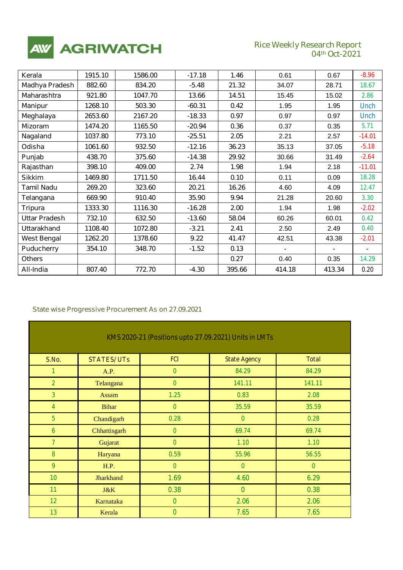

## **Rice Weekly Research Report**<br>04th Oct-2021

٦

| Kerala               | 1915.10 | 1586.00 | $-17.18$ | 1.46   | 0.61   | 0.67   | $-8.96$     |
|----------------------|---------|---------|----------|--------|--------|--------|-------------|
| Madhya Pradesh       | 882.60  | 834.20  | $-5.48$  | 21.32  | 34.07  | 28.71  | 18.67       |
| <b>Maharashtra</b>   | 921.80  | 1047.70 | 13.66    | 14.51  | 15.45  | 15.02  | 2.86        |
| <b>Manipur</b>       | 1268.10 | 503.30  | $-60.31$ | 0.42   | 1.95   | 1.95   | <b>Unch</b> |
| Meghalaya            | 2653.60 | 2167.20 | $-18.33$ | 0.97   | 0.97   | 0.97   | <b>Unch</b> |
| <b>Mizoram</b>       | 1474.20 | 1165.50 | $-20.94$ | 0.36   | 0.37   | 0.35   | 5.71        |
| Nagaland             | 1037.80 | 773.10  | $-25.51$ | 2.05   | 2.21   | 2.57   | $-14.01$    |
| Odisha               | 1061.60 | 932.50  | $-12.16$ | 36.23  | 35.13  | 37.05  | $-5.18$     |
| Punjab               | 438.70  | 375.60  | $-14.38$ | 29.92  | 30.66  | 31.49  | $-2.64$     |
| Rajasthan            | 398.10  | 409.00  | 2.74     | 1.98   | 1.94   | 2.18   | $-11.01$    |
| <b>Sikkim</b>        | 1469.80 | 1711.50 | 16.44    | 0.10   | 0.11   | 0.09   | 18.28       |
| <b>Tamil Nadu</b>    | 269.20  | 323.60  | 20.21    | 16.26  | 4.60   | 4.09   | 12.47       |
| Telangana            | 669.90  | 910.40  | 35.90    | 9.94   | 21.28  | 20.60  | 3.30        |
| <b>Tripura</b>       | 1333.30 | 1116.30 | $-16.28$ | 2.00   | 1.94   | 1.98   | $-2.02$     |
| <b>Uttar Pradesh</b> | 732.10  | 632.50  | $-13.60$ | 58.04  | 60.26  | 60.01  | 0.42        |
| <b>Uttarakhand</b>   | 1108.40 | 1072.80 | $-3.21$  | 2.41   | 2.50   | 2.49   | 0.40        |
| <b>West Bengal</b>   | 1262.20 | 1378.60 | 9.22     | 41.47  | 42.51  | 43.38  | $-2.01$     |
| <b>Puducherry</b>    | 354.10  | 348.70  | $-1.52$  | 0.13   |        |        |             |
| <b>Others</b>        |         |         |          | 0.27   | 0.40   | 0.35   | 14.29       |
| All-India            | 807.40  | 772.70  | $-4.30$  | 395.66 | 414.18 | 413.34 | 0.20        |

#### *State wise Progressive Procurement As on 27.09.2021*

| KMS 2020-21 (Positions upto 27.09.2021) Units in LMTs |                   |               |                     |              |  |
|-------------------------------------------------------|-------------------|---------------|---------------------|--------------|--|
| <b>S.No.</b>                                          | <b>STATES/UTs</b> | <b>FCI</b>    | <b>State Agency</b> | <b>Total</b> |  |
| $\mathcal{I}$                                         | A.P.              | $\mathcal O$  | 84.29               | 84.29        |  |
| $\overline{z}$                                        | Telangana         | $\mathcal{O}$ | 141.11              | 141.11       |  |
| $\mathcal{J}$                                         | Assam             | 1.25          | 0.83                | 2.08         |  |
| $\overline{4}$                                        | <b>Bihar</b>      | $\mathcal O$  | 35.59               | 35.59        |  |
| $\mathcal{F}$                                         | Chandigarh        | 0.28          | $\mathcal{O}$       | 0.28         |  |
| 6                                                     | Chhattisgarh      | $\mathcal{O}$ | 69.74               | 69.74        |  |
| $\mathcal{Z}_{\mathcal{C}}$                           | Gujarat           | $\mathcal{O}$ | 1.10                | 1.10         |  |
| 8                                                     | Haryana           | 0.59          | 55.96               | 56.55        |  |
| 9                                                     | H.P.              | $\mathcal O$  | $\mathcal O$        | $\mathcal O$ |  |
| 10 <sup>°</sup>                                       | Jharkhand         | 1.69          | 4.60                | 6.29         |  |
| 11                                                    | J&K               | 0.38          | $\mathcal O$        | 0.38         |  |
| 12 <sup>°</sup>                                       | Karnataka         | $\mathcal O$  | 2.06                | 2.06         |  |
| 13                                                    | Kerala            | $\mathcal O$  | 7.65                | 7.65         |  |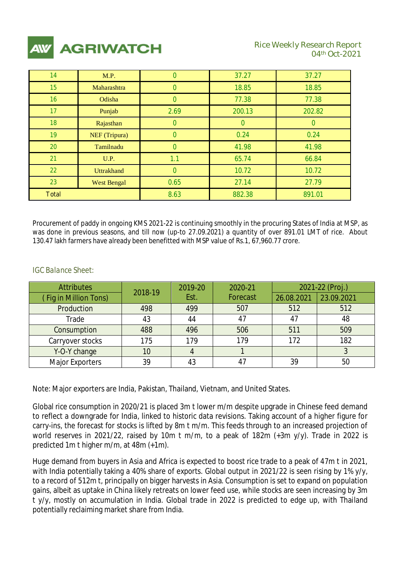

| 14              | M.P.               | $\theta$      | 37.27  | 37.27  |
|-----------------|--------------------|---------------|--------|--------|
| 15 <sup>5</sup> | Maharashtra        | n             | 18.85  | 18.85  |
| 16              | Odisha             | $\mathcal{O}$ | 77.38  | 77.38  |
| 17              | Punjab             | 2.69          | 200.13 | 202.82 |
| 18              | Rajasthan          | 0             | n      |        |
| 19 <sup>°</sup> | NEF (Tripura)      | Ω             | 0.24   | 0.24   |
| 20              | Tamilnadu          | Ω             | 41.98  | 41.98  |
| 21              | U.P.               | 1.1           | 65.74  | 66.84  |
| 22              | <b>Uttrakhand</b>  | Ω             | 10.72  | 10.72  |
| 23              | <b>West Bengal</b> | 0.65          | 27.14  | 27.79  |
| <b>Total</b>    |                    | 8.63          | 882.38 | 891.01 |

Procurement of paddy in ongoing KMS 2021-22 is continuing smoothly in the procuring States of India at MSP, as was done in previous seasons, and till now (up-to 27.09.2021) a quantity of over 891.01 LMT of rice. About 130.47 lakh farmers have already been benefitted with MSP value of Rs.1, 67,960.77 crore.

| <b>Attributes</b>     | 2018-19 | 2019-20 | 2020-21         | 2021-22 (Proj.) |            |
|-----------------------|---------|---------|-----------------|-----------------|------------|
| (Fig in Million Tons) |         | Est.    | <b>Forecast</b> | 26.08.2021      | 23.09.2021 |
| Production            | 498     | 499     | 507             | 512             | 512        |
| Trade                 | 43      | 44      | 47              |                 | 48         |
| Consumption           | 488     | 496     | 506             | 511             | 509        |
| Carryover stocks      | 175     | 179     | 179             | 172             | 182        |
| Y-O-Y change          | 10      |         |                 |                 |            |
| Major Exporters       | 39      | 43      |                 | 39              | 50         |

## *IGC Balance Sheet:*

Note: Major exporters are India, Pakistan, Thailand, Vietnam, and United States.

Global rice consumption in 2020/21 is placed 3m t lower m/m despite upgrade in Chinese feed demand to reflect a downgrade for India, linked to historic data revisions. Taking account of a higher figure for carry-ins, the forecast for stocks is lifted by 8m t m/m. This feeds through to an increased projection of world reserves in 2021/22, raised by 10m t m/m, to a peak of 182m (+3m y/y). Trade in 2022 is predicted 1m t higher m/m, at 48m (+1m).

Huge demand from buyers in Asia and Africa is expected to boost rice trade to a peak of 47m t in 2021, with India potentially taking a 40% share of exports. Global output in 2021/22 is seen rising by 1% y/y, to a record of 512m t, principally on bigger harvests in Asia. Consumption is set to expand on population gains, albeit as uptake in China likely retreats on lower feed use, while stocks are seen increasing by 3m t y/y, mostly on accumulation in India. Global trade in 2022 is predicted to edge up, with Thailand potentially reclaiming market share from India.